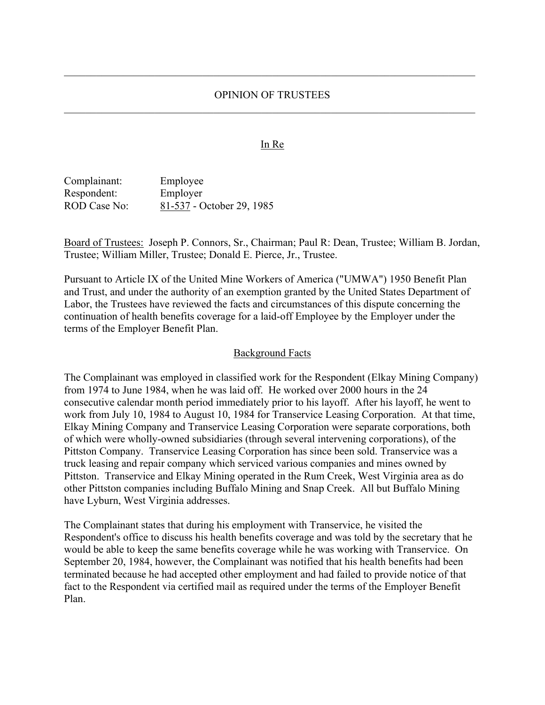#### OPINION OF TRUSTEES

#### **In Re**

Complainant: Employee Respondent: Employer ROD Case No: 81-537 - October 29, 1985

Board of Trustees: Joseph P. Connors, Sr., Chairman; Paul R: Dean, Trustee; William B. Jordan, Trustee; William Miller, Trustee; Donald E. Pierce, Jr., Trustee.

Pursuant to Article IX of the United Mine Workers of America ("UMWA") 1950 Benefit Plan and Trust, and under the authority of an exemption granted by the United States Department of Labor, the Trustees have reviewed the facts and circumstances of this dispute concerning the continuation of health benefits coverage for a laid-off Employee by the Employer under the terms of the Employer Benefit Plan.

#### Background Facts

The Complainant was employed in classified work for the Respondent (Elkay Mining Company) from 1974 to June 1984, when he was laid off. He worked over 2000 hours in the 24 consecutive calendar month period immediately prior to his layoff. After his layoff, he went to work from July 10, 1984 to August 10, 1984 for Transervice Leasing Corporation. At that time, Elkay Mining Company and Transervice Leasing Corporation were separate corporations, both of which were wholly-owned subsidiaries (through several intervening corporations), of the Pittston Company. Transervice Leasing Corporation has since been sold. Transervice was a truck leasing and repair company which serviced various companies and mines owned by Pittston. Transervice and Elkay Mining operated in the Rum Creek, West Virginia area as do other Pittston companies including Buffalo Mining and Snap Creek. All but Buffalo Mining have Lyburn, West Virginia addresses.

The Complainant states that during his employment with Transervice, he visited the Respondent's office to discuss his health benefits coverage and was told by the secretary that he would be able to keep the same benefits coverage while he was working with Transervice. On September 20, 1984, however, the Complainant was notified that his health benefits had been terminated because he had accepted other employment and had failed to provide notice of that fact to the Respondent via certified mail as required under the terms of the Employer Benefit Plan.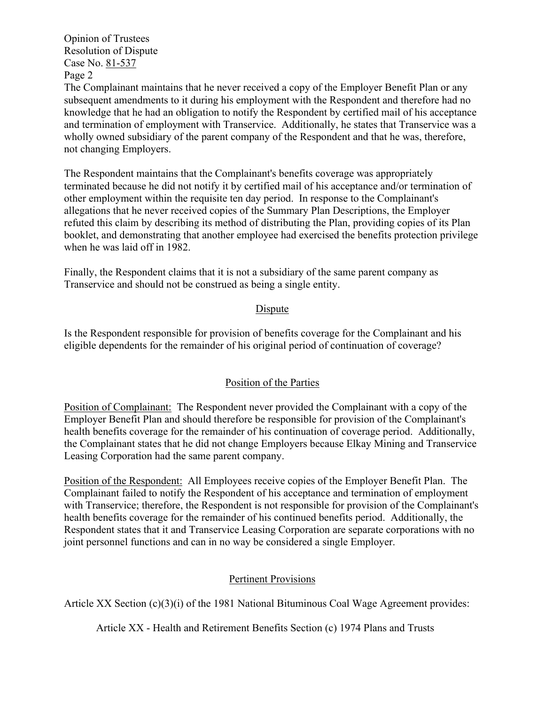The Complainant maintains that he never received a copy of the Employer Benefit Plan or any subsequent amendments to it during his employment with the Respondent and therefore had no knowledge that he had an obligation to notify the Respondent by certified mail of his acceptance and termination of employment with Transervice. Additionally, he states that Transervice was a wholly owned subsidiary of the parent company of the Respondent and that he was, therefore, not changing Employers.

The Respondent maintains that the Complainant's benefits coverage was appropriately terminated because he did not notify it by certified mail of his acceptance and/or termination of other employment within the requisite ten day period. In response to the Complainant's allegations that he never received copies of the Summary Plan Descriptions, the Employer refuted this claim by describing its method of distributing the Plan, providing copies of its Plan booklet, and demonstrating that another employee had exercised the benefits protection privilege when he was laid off in 1982.

Finally, the Respondent claims that it is not a subsidiary of the same parent company as Transervice and should not be construed as being a single entity.

## Dispute

Is the Respondent responsible for provision of benefits coverage for the Complainant and his eligible dependents for the remainder of his original period of continuation of coverage?

## Position of the Parties

Position of Complainant: The Respondent never provided the Complainant with a copy of the Employer Benefit Plan and should therefore be responsible for provision of the Complainant's health benefits coverage for the remainder of his continuation of coverage period. Additionally, the Complainant states that he did not change Employers because Elkay Mining and Transervice Leasing Corporation had the same parent company.

Position of the Respondent: All Employees receive copies of the Employer Benefit Plan. The Complainant failed to notify the Respondent of his acceptance and termination of employment with Transervice; therefore, the Respondent is not responsible for provision of the Complainant's health benefits coverage for the remainder of his continued benefits period. Additionally, the Respondent states that it and Transervice Leasing Corporation are separate corporations with no joint personnel functions and can in no way be considered a single Employer.

## Pertinent Provisions

Article XX Section (c)(3)(i) of the 1981 National Bituminous Coal Wage Agreement provides:

Article XX - Health and Retirement Benefits Section (c) 1974 Plans and Trusts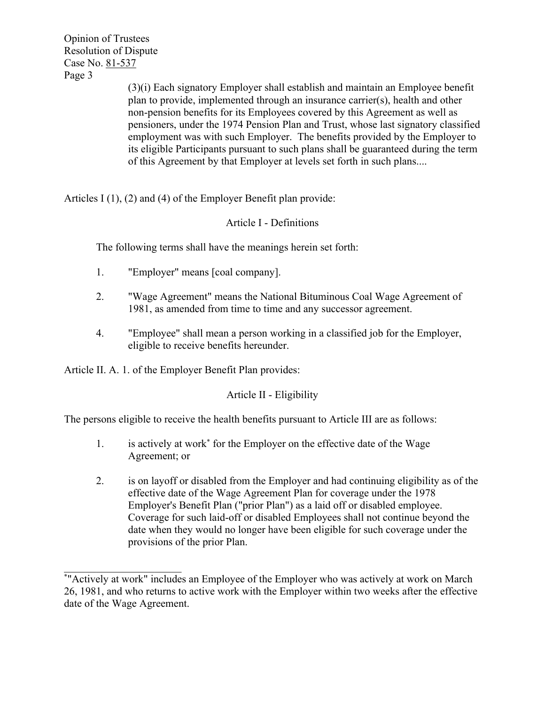(3)(i) Each signatory Employer shall establish and maintain an Employee benefit plan to provide, implemented through an insurance carrier(s), health and other non-pension benefits for its Employees covered by this Agreement as well as pensioners, under the 1974 Pension Plan and Trust, whose last signatory classified employment was with such Employer. The benefits provided by the Employer to its eligible Participants pursuant to such plans shall be guaranteed during the term of this Agreement by that Employer at levels set forth in such plans....

Articles I (1), (2) and (4) of the Employer Benefit plan provide:

## Article I - Definitions

The following terms shall have the meanings herein set forth:

- 1. "Employer" means [coal company].
- 2. "Wage Agreement" means the National Bituminous Coal Wage Agreement of 1981, as amended from time to time and any successor agreement.
- 4. "Employee" shall mean a person working in a classified job for the Employer, eligible to receive benefits hereunder.

Article II. A. 1. of the Employer Benefit Plan provides:

# Article II - Eligibility

The persons eligible to receive the health benefits pursuant to Article III are as follows:

- 1. is actively at work\* for the Employer on the effective date of the Wage Agreement; or
- 2. is on layoff or disabled from the Employer and had continuing eligibility as of the effective date of the Wage Agreement Plan for coverage under the 1978 Employer's Benefit Plan ("prior Plan") as a laid off or disabled employee. Coverage for such laid-off or disabled Employees shall not continue beyond the date when they would no longer have been eligible for such coverage under the provisions of the prior Plan.

<sup>\*</sup> "Actively at work" includes an Employee of the Employer who was actively at work on March 26, 1981, and who returns to active work with the Employer within two weeks after the effective date of the Wage Agreement.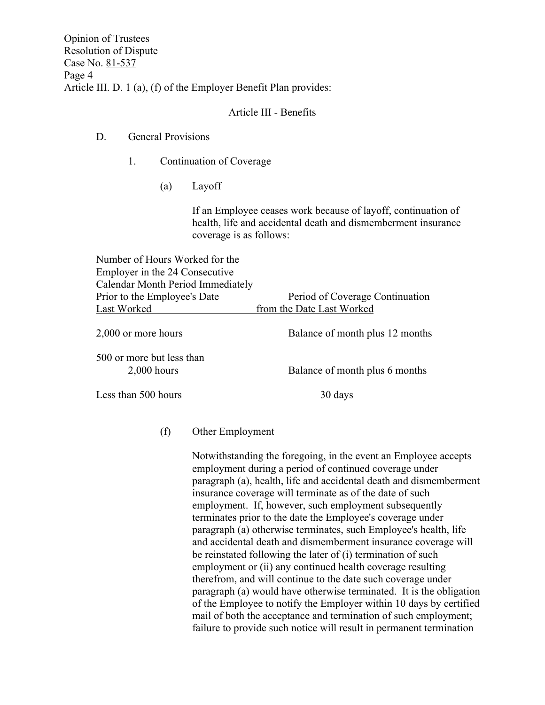Opinion of Trustees Resolution of Dispute Case No. 81-537 Page 4 Article III. D. 1 (a), (f) of the Employer Benefit Plan provides:

## Article III - Benefits

### D. General Provisions

- 1. Continuation of Coverage
	- (a) Layoff

If an Employee ceases work because of layoff, continuation of health, life and accidental death and dismemberment insurance coverage is as follows:

Number of Hours Worked for the Employer in the 24 Consecutive Calendar Month Period Immediately Prior to the Employee's Date Period of Coverage Continuation Last Worked from the Date Last Worked

| 2,000 or more hours                        | Balance of month plus 12 months |
|--------------------------------------------|---------------------------------|
| 500 or more but less than<br>$2,000$ hours | Balance of month plus 6 months  |
| Less than 500 hours                        | 30 days                         |

### (f) Other Employment

Notwithstanding the foregoing, in the event an Employee accepts employment during a period of continued coverage under paragraph (a), health, life and accidental death and dismemberment insurance coverage will terminate as of the date of such employment. If, however, such employment subsequently terminates prior to the date the Employee's coverage under paragraph (a) otherwise terminates, such Employee's health, life and accidental death and dismemberment insurance coverage will be reinstated following the later of (i) termination of such employment or (ii) any continued health coverage resulting therefrom, and will continue to the date such coverage under paragraph (a) would have otherwise terminated. It is the obligation of the Employee to notify the Employer within 10 days by certified mail of both the acceptance and termination of such employment; failure to provide such notice will result in permanent termination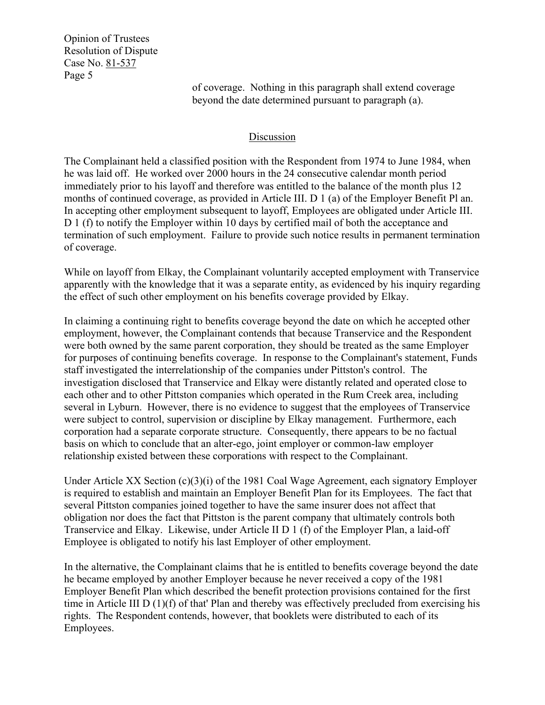> of coverage. Nothing in this paragraph shall extend coverage beyond the date determined pursuant to paragraph (a).

## Discussion

The Complainant held a classified position with the Respondent from 1974 to June 1984, when he was laid off. He worked over 2000 hours in the 24 consecutive calendar month period immediately prior to his layoff and therefore was entitled to the balance of the month plus 12 months of continued coverage, as provided in Article III. D 1 (a) of the Employer Benefit Pl an. In accepting other employment subsequent to layoff, Employees are obligated under Article III. D 1 (f) to notify the Employer within 10 days by certified mail of both the acceptance and termination of such employment. Failure to provide such notice results in permanent termination of coverage.

While on layoff from Elkay, the Complainant voluntarily accepted employment with Transervice apparently with the knowledge that it was a separate entity, as evidenced by his inquiry regarding the effect of such other employment on his benefits coverage provided by Elkay.

In claiming a continuing right to benefits coverage beyond the date on which he accepted other employment, however, the Complainant contends that because Transervice and the Respondent were both owned by the same parent corporation, they should be treated as the same Employer for purposes of continuing benefits coverage. In response to the Complainant's statement, Funds staff investigated the interrelationship of the companies under Pittston's control. The investigation disclosed that Transervice and Elkay were distantly related and operated close to each other and to other Pittston companies which operated in the Rum Creek area, including several in Lyburn. However, there is no evidence to suggest that the employees of Transervice were subject to control, supervision or discipline by Elkay management. Furthermore, each corporation had a separate corporate structure. Consequently, there appears to be no factual basis on which to conclude that an alter-ego, joint employer or common-law employer relationship existed between these corporations with respect to the Complainant.

Under Article XX Section (c)(3)(i) of the 1981 Coal Wage Agreement, each signatory Employer is required to establish and maintain an Employer Benefit Plan for its Employees. The fact that several Pittston companies joined together to have the same insurer does not affect that obligation nor does the fact that Pittston is the parent company that ultimately controls both Transervice and Elkay. Likewise, under Article II D 1 (f) of the Employer Plan, a laid-off Employee is obligated to notify his last Employer of other employment.

In the alternative, the Complainant claims that he is entitled to benefits coverage beyond the date he became employed by another Employer because he never received a copy of the 1981 Employer Benefit Plan which described the benefit protection provisions contained for the first time in Article III D (1)(f) of that' Plan and thereby was effectively precluded from exercising his rights. The Respondent contends, however, that booklets were distributed to each of its Employees.